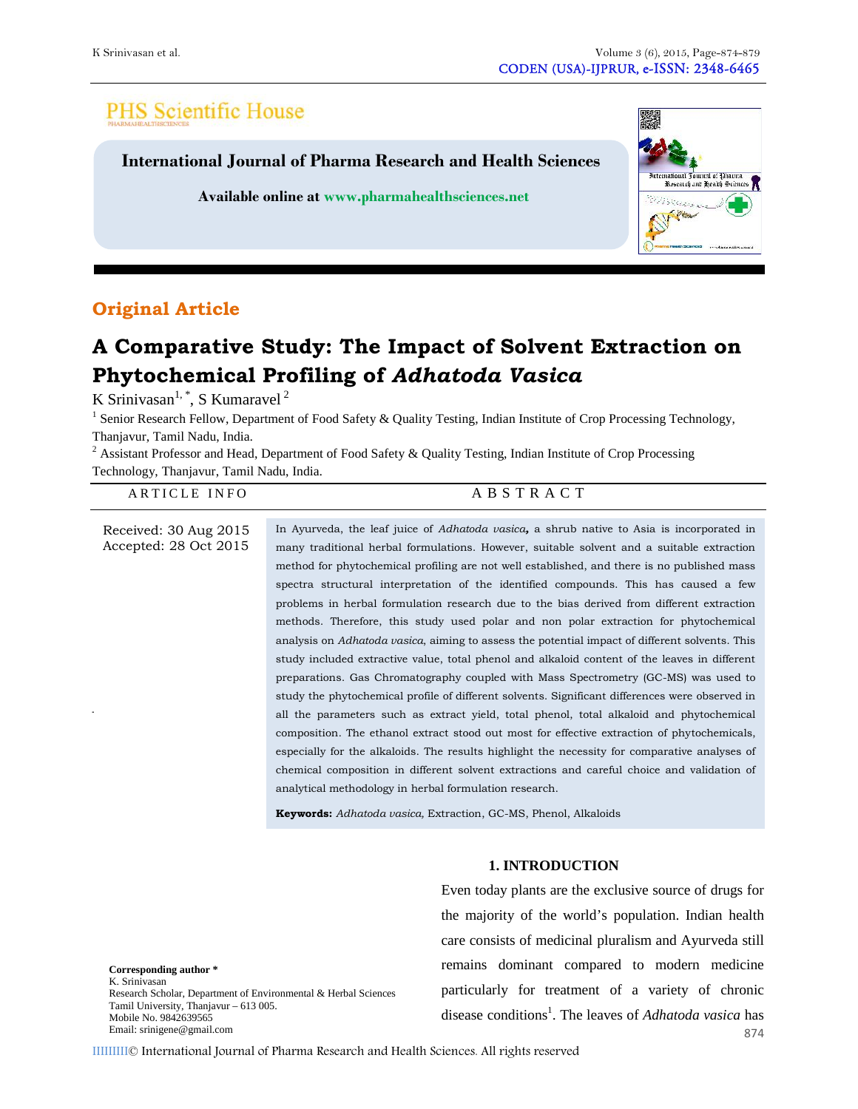# **PHS Scientific House**

**International Journal of Pharma Research and Health Sciences**

**Available online at www.pharmahealthsciences.net**



# **Original Article**

# **A Comparative Study: The Impact of Solvent Extraction on Phytochemical Profiling of** *Adhatoda Vasica*

K Srinivasan<sup>1, \*</sup>, S Kumaravel<sup>2</sup>

<sup>1</sup> Senior Research Fellow, Department of Food Safety & Quality Testing, Indian Institute of Crop Processing Technology, Thanjavur, Tamil Nadu, India.

<sup>2</sup> Assistant Professor and Head, Department of Food Safety & Quality Testing, Indian Institute of Crop Processing K Srinivasan", S Kumaravel<br>
<sup>1</sup> Senior Research Fellow, Department of Food Safety & Quality Testing, Indian Institute of Crop Processi<br>
Thanjavur, Tamil Nadu, India.<br>
<sup>2</sup> Assistant Professor and Head, Department of Food S

# all the parameters such as extract yield, total phenol, total alkaloid and phytochemical Received: 30 Aug 2015 Accepted: 28 Oct 2015 In Ayurveda, the leaf juice of *Adhatoda vasica,* a shrub native to Asia is incorporated in many traditional herbal formulations. However, suitable solvent and a suitable extraction method for phytochemical profiling are not well established, and there is no published mass spectra structural interpretation of the identified compounds. This has caused a few problems in herbal formulation research due to the bias derived from different extraction methods. Therefore, this study used polar and non polar extraction for phytochemical analysis on *Adhatoda vasica*, aiming to assess the potential impact of different solvents. This study included extractive value, total phenol and alkaloid content of the leaves in different preparations. Gas Chromatography coupled with Mass Spectrometry (GC-MS) was used to study the phytochemical profile of different solvents. Significant differences were observed in composition. The ethanol extract stood out most for effective extraction of phytochemicals, especially for the alkaloids. The results highlight the necessity for comparative analyses of chemical composition in different solvent extractions and careful choice and validation of analytical methodology in herbal formulation research.

**Keywords:** *Adhatoda vasica,* Extraction, GC-MS, Phenol, Alkaloids

**Corresponding author \*** K. Srinivasan Research Scholar, Department of Environmental & Herbal Sciences Tamil University, Thanjavur – 613 005. Mobile No. 9842639565 Email: srinigene@gmail.com

# **1. INTRODUCTION**

Even today plants are the exclusive source of drugs for the majority of the world's population. Indian health care consists of medicinal pluralism and Ayurveda still remains dominant compared to modern medicine particularly for treatment of a variety of chronic disease conditions<sup>1</sup>. The leaves of *Adhatoda vasica* has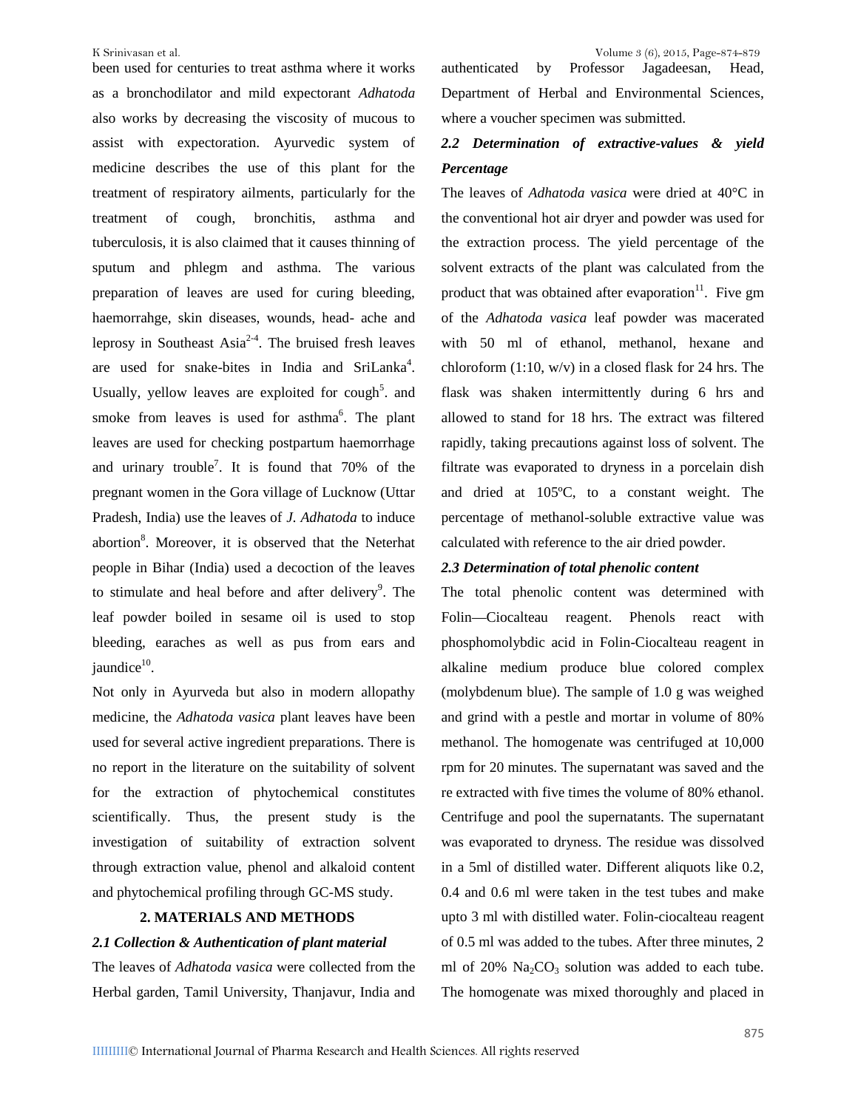been used for centuries to treat asthma where it works as a bronchodilator and mild expectorant *Adhatoda* also works by decreasing the viscosity of mucous to assist with expectoration. Ayurvedic system of medicine describes the use of this plant for the treatment of respiratory ailments, particularly for the treatment of cough, bronchitis, asthma and tuberculosis, it is also claimed that it causes thinning of sputum and phlegm and asthma. The various preparation of leaves are used for curing bleeding, haemorrahge, skin diseases, wounds, head- ache and leprosy in Southeast Asia<sup>2-4</sup>. The bruised fresh leaves wit are used for snake-bites in India and SriLanka<sup>4</sup>. c Usually, yellow leaves are exploited for  $\text{cough}^5$ . and smoke from leaves is used for asthma<sup>6</sup>. The plant a leaves are used for checking postpartum haemorrhage and urinary trouble<sup>7</sup>. It is found that  $70\%$  of the filtra pregnant women in the Gora village of Lucknow (Uttar Pradesh, India) use the leaves of *J. Adhatoda* to induce abortion<sup>8</sup>. Moreover, it is observed that the Neterhat c people in Bihar (India) used a decoction of the leaves to stimulate and heal before and after delivery<sup>9</sup>. The The leaf powder boiled in sesame oil is used to stop bleeding, earaches as well as pus from ears and jaundice<sup>10</sup>.

Not only in Ayurveda but also in modern allopathy medicine, the *Adhatoda vasica* plant leaves have been used for several active ingredient preparations. There is no report in the literature on the suitability of solvent for the extraction of phytochemical constitutes scientifically. Thus, the present study is the investigation of suitability of extraction solvent through extraction value, phenol and alkaloid content and phytochemical profiling through GC-MS study.

# **2. MATERIALS AND METHODS**

# *2.1 Collection & Authentication of plant material*

The leaves of *Adhatoda vasica* were collected from the Herbal garden, Tamil University, Thanjavur, India and Department of Herbal and Environmental Sciences, where a voucher specimen was submitted.

# *2.2 Determination of extractive-values & yield Percentage*

. and flask was shaken intermittently during 6 hrs and The leaves of *Adhatoda vasica* were dried at 40°C in the conventional hot air dryer and powder was used for the extraction process. The yield percentage of the solvent extracts of the plant was calculated from the product that was obtained after evaporation $11$ . Five gm of the *Adhatoda vasica* leaf powder was macerated with 50 ml of ethanol, methanol, hexane and chloroform (1:10, w/v) in a closed flask for 24 hrs. The allowed to stand for 18 hrs. The extract was filtered rapidly, taking precautions against loss of solvent. The filtrate was evaporated to dryness in a porcelain dish and dried at 105ºC, to a constant weight. The percentage of methanol-soluble extractive value was calculated with reference to the air dried powder.

#### *2.3 Determination of total phenolic content*

The total phenolic content was determined with Folin—Ciocalteau reagent. Phenols react with phosphomolybdic acid in Folin-Ciocalteau reagent in alkaline medium produce blue colored complex (molybdenum blue). The sample of 1.0 g was weighed and grind with a pestle and mortar in volume of 80% methanol. The homogenate was centrifuged at 10,000 rpm for 20 minutes. The supernatant was saved and the re extracted with five times the volume of 80% ethanol. Centrifuge and pool the supernatants. The supernatant was evaporated to dryness. The residue was dissolved in a 5ml of distilled water. Different aliquots like 0.2, 0.4 and 0.6 ml were taken in the test tubes and make upto 3 ml with distilled water. Folin-ciocalteau reagent of 0.5 ml was added to the tubes. After three minutes, 2 ml of  $20\%$  Na<sub>2</sub>CO<sub>3</sub> solution was added to each tube. The homogenate was mixed thoroughly and placed in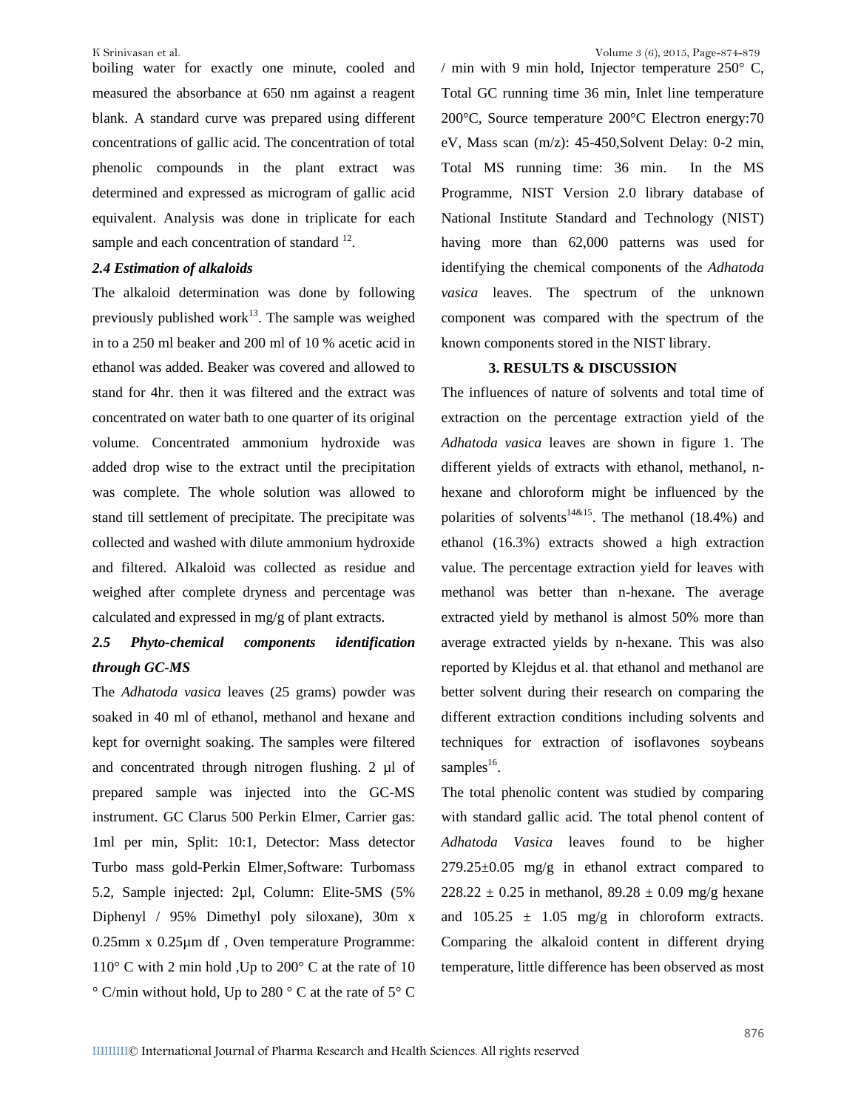boiling water for exactly one minute, cooled and measured the absorbance at 650 nm against a reagent blank. A standard curve was prepared using different concentrations of gallic acid. The concentration of total phenolic compounds in the plant extract was determined and expressed as microgram of gallic acid equivalent. Analysis was done in triplicate for each sample and each concentration of standard  $12$ .

# *2.4 Estimation of alkaloids*

The alkaloid determination was done by following previously published work<sup>13</sup>. The sample was weighed in to a 250 ml beaker and 200 ml of 10 % acetic acid in ethanol was added. Beaker was covered and allowed to stand for 4hr. then it was filtered and the extract was concentrated on water bath to one quarter of its original volume. Concentrated ammonium hydroxide was added drop wise to the extract until the precipitation was complete. The whole solution was allowed to stand till settlement of precipitate. The precipitate was collected and washed with dilute ammonium hydroxide and filtered. Alkaloid was collected as residue and weighed after complete dryness and percentage was calculated and expressed in mg/g of plant extracts.

# *2.5 Phyto-chemical components identification through GC-MS*

The *Adhatoda vasica* leaves (25 grams) powder was soaked in 40 ml of ethanol, methanol and hexane and kept for overnight soaking. The samples were filtered and concentrated through nitrogen flushing. 2 µl of prepared sample was injected into the GC-MS instrument. GC Clarus 500 Perkin Elmer, Carrier gas: 1ml per min, Split: 10:1, Detector: Mass detector Turbo mass gold-Perkin Elmer,Software: Turbomass 5.2, Sample injected: 2µl, Column: Elite-5MS (5% Diphenyl / 95% Dimethyl poly siloxane), 30m x 0.25mm x 0.25µm df , Oven temperature Programme: 110° C with 2 min hold ,Up to 200° C at the rate of 10  $\degree$  C/min without hold, Up to 280  $\degree$  C at the rate of 5 $\degree$  C

/ min with 9 min hold, Injector temperature  $250^{\circ}$  C, Total GC running time 36 min, Inlet line temperature 200°C, Source temperature 200°C Electron energy:70 eV, Mass scan (m/z): 45-450,Solvent Delay: 0-2 min, Total MS running time: 36 min. In the MS Programme, NIST Version 2.0 library database of National Institute Standard and Technology (NIST) having more than 62,000 patterns was used for identifying the chemical components of the *Adhatoda vasica* leaves. The spectrum of the unknown component was compared with the spectrum of the known components stored in the NIST library.

## **3. RESULTS & DISCUSSION**

The influences of nature of solvents and total time of extraction on the percentage extraction yield of the *Adhatoda vasica* leaves are shown in figure 1. The different yields of extracts with ethanol, methanol, n hexane and chloroform might be influenced by the polarities of solvents<sup>14&15</sup>. The methanol (18.4%) and ethanol (16.3%) extracts showed a high extraction value. The percentage extraction yield for leaves with methanol was better than n-hexane. The average extracted yield by methanol is almost 50% more than average extracted yields by n-hexane. This was also reported by Klejdus et al. that ethanol and methanol are better solvent during their research on comparing the different extraction conditions including solvents and techniques for extraction of isoflavones soybeans samples<sup>16</sup>.

The total phenolic content was studied by comparing with standard gallic acid. The total phenol content of *Adhatoda Vasica* leaves found to be higher  $279.25\pm0.05$  mg/g in ethanol extract compared to  $228.22 \pm 0.25$  in methanol,  $89.28 \pm 0.09$  mg/g hexane and  $105.25 \pm 1.05$  mg/g in chloroform extracts. Comparing the alkaloid content in different drying temperature, little difference has been observed as most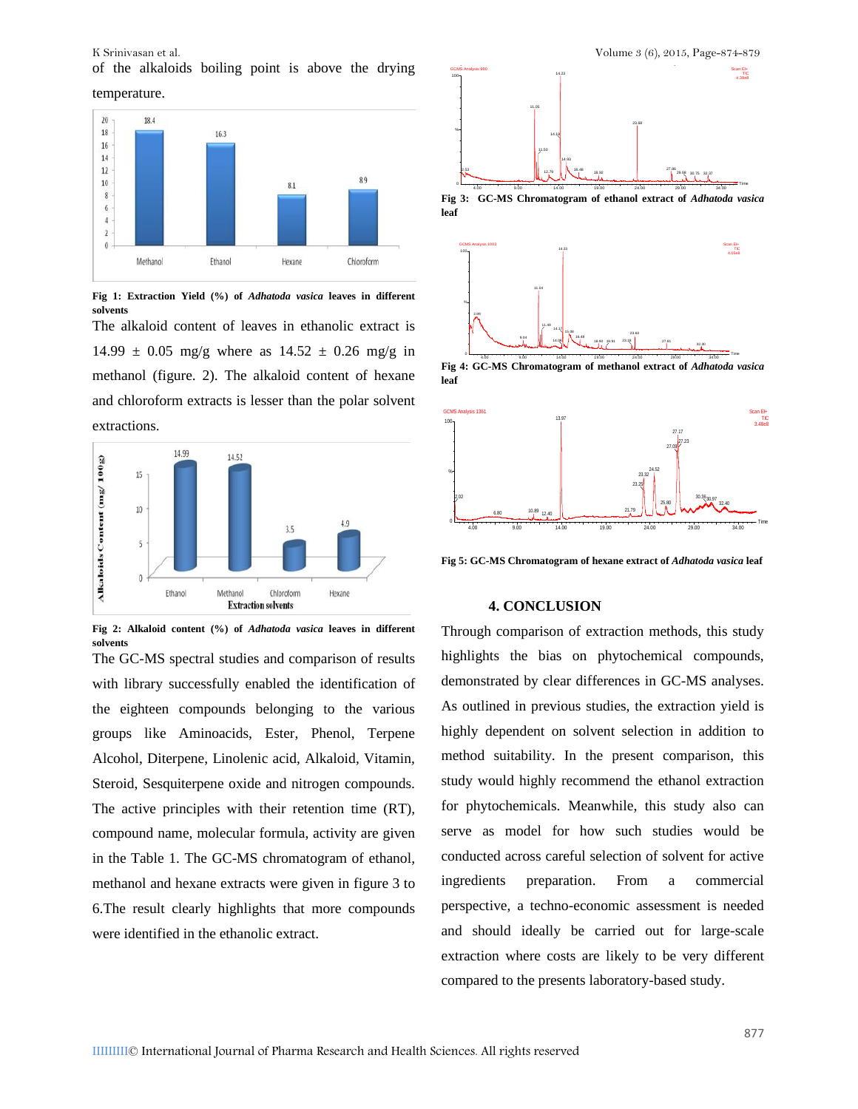K Srinivasan et al. **Volume 3** (6), 2015, Page-874-879 of the alkaloids boiling point is above the drying

temperature.



**Fig 1: Extraction Yield (%) of** *Adhatoda vasica* **leaves in different solvents**

The alkaloid content of leaves in ethanolic extract is  $14.99 \pm 0.05$  mg/g where as  $14.52 \pm 0.26$  mg/g in methanol (figure. 2). The alkaloid content of hexane and chloroform extracts is lesser than the polar solvent extractions.



**Fig 2: Alkaloid content (%) of** *Adhatoda vasica* **leaves in different solvents**

The GC-MS spectral studies and comparison of results with library successfully enabled the identification of the eighteen compounds belonging to the various groups like Aminoacids, Ester, Phenol, Terpene Alcohol, Diterpene, Linolenic acid, Alkaloid, Vitamin, Steroid, Sesquiterpene oxide and nitrogen compounds. The active principles with their retention time (RT), compound name, molecular formula, activity are given in the Table 1. The GC-MS chromatogram of ethanol, methanol and hexane extracts were given in figure 3 to ingredients 6.The result clearly highlights that more compounds were identified in the ethanolic extract.



**Fig 3: GC-MS Chromatogram of ethanol extract of** *Adhatoda vasica* **leaf**



**Fig 4:** GC-MS Chromatogram of methanol extract of *Adhatoda vasica* **leaf**



**Fig 5: GC-MS Chromatogram of hexane extract of** *Adhatoda vasica* **leaf**

#### **4. CONCLUSION**

Through comparison of extraction methods, this study highlights the bias on phytochemical compounds, demonstrated by clear differences in GC-MS analyses. As outlined in previous studies, the extraction yield is highly dependent on solvent selection in addition to method suitability. In the present comparison, this study would highly recommend the ethanol extraction for phytochemicals. Meanwhile, this study also can serve as model for how such studies would be conducted across careful selection of solvent for active preparation. From a commercial perspective, a techno-economic assessment is needed and should ideally be carried out for large-scale extraction where costs are likely to be very different compared to the presents laboratory-based study.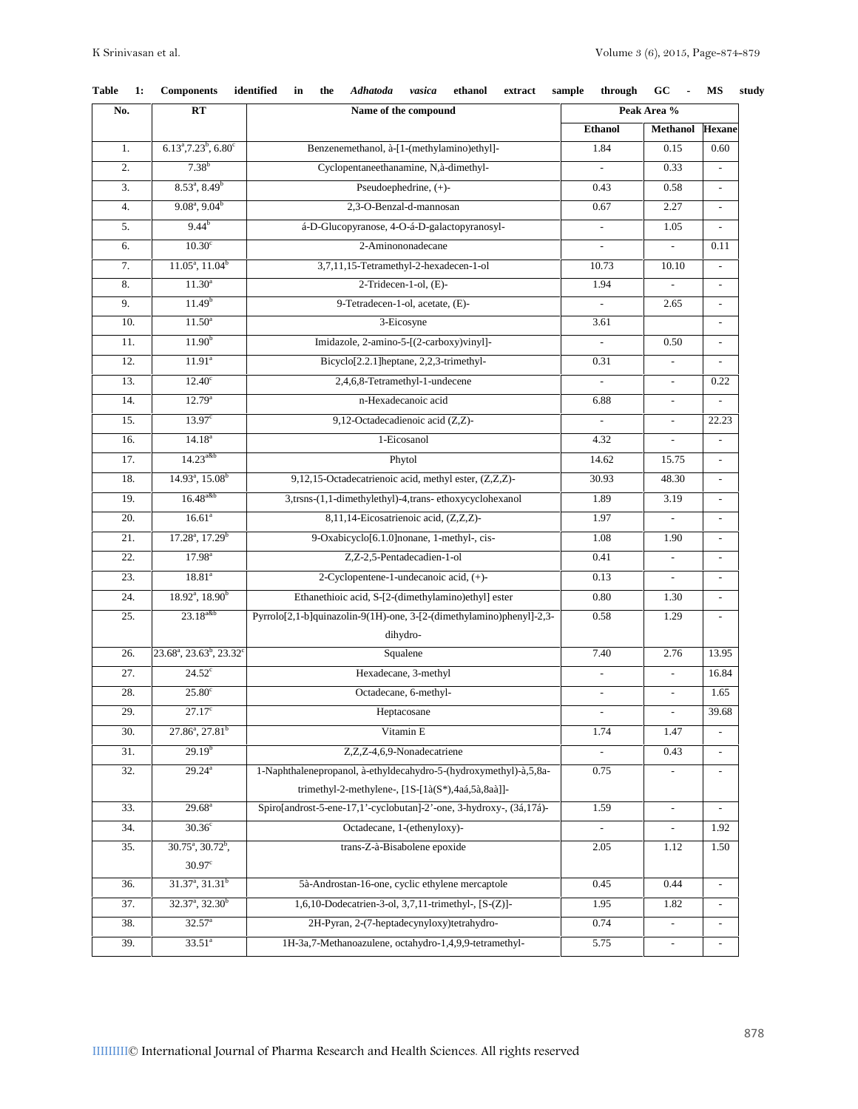| No. | $\mathbf{R} \mathbf{T}$                                   | Name of the compound                                                 | Peak Area %              |                          |                             |  |  |  |
|-----|-----------------------------------------------------------|----------------------------------------------------------------------|--------------------------|--------------------------|-----------------------------|--|--|--|
|     |                                                           |                                                                      | <b>Ethanol</b>           | <b>Methanol</b>          | <b>Hexane</b>               |  |  |  |
| 1.  | $6.13^{\text{a}}$ , $7.23^{\text{b}}$ , $6.80^{\text{c}}$ | Benzenemethanol, à-[1-(methylamino)ethyl]-                           | 1.84                     | 0.15                     | 0.60                        |  |  |  |
| 2.  | $7.38^{b}$                                                | Cyclopentaneethanamine, N,à-dimethyl-                                |                          | 0.33                     | $\overline{\phantom{a}}$    |  |  |  |
| 3.  | $8.53^{\circ}, 8.49^{\circ}$                              | Pseudoephedrine, (+)-                                                | 0.43                     | 0.58                     | $\overline{\phantom{a}}$    |  |  |  |
| 4.  | $9.08^a$ , $9.04^b$                                       | 2,3-O-Benzal-d-mannosan                                              | 0.67                     | 2.27                     | $\overline{\phantom{a}}$    |  |  |  |
| 5.  | $9.44^{b}$                                                | á-D-Glucopyranose, 4-O-á-D-galactopyranosyl-                         | $\overline{\phantom{a}}$ | 1.05                     | $\blacksquare$              |  |  |  |
| 6.  | 10.30 <sup>c</sup>                                        | 2-Aminononadecane                                                    | $\overline{\phantom{a}}$ | $\mathbb{Z}^2$           | 0.11                        |  |  |  |
| 7.  | $11.05^a$ , $11.04^b$                                     | 3,7,11,15-Tetramethyl-2-hexadecen-1-ol                               | 10.73                    | 10.10                    |                             |  |  |  |
| 8.  | $11.30^{a}$                                               | 2-Tridecen-1-ol, (E)-                                                | 1.94                     |                          | $\overline{\phantom{a}}$    |  |  |  |
| 9.  | 11.49 <sup>b</sup>                                        | 9-Tetradecen-1-ol, acetate, (E)-                                     |                          | 2.65                     | $\blacksquare$              |  |  |  |
| 10. | $11.50^{\circ}$                                           | 3-Eicosyne                                                           | 3.61                     |                          | $\overline{\phantom{a}}$    |  |  |  |
| 11. | 11.90 <sup>b</sup>                                        | Imidazole, 2-amino-5-[(2-carboxy)vinyl]-                             | $\blacksquare$           | 0.50                     | $\overline{\phantom{a}}$    |  |  |  |
| 12. | 11.91 <sup>a</sup>                                        | Bicyclo[2.2.1]heptane, 2,2,3-trimethyl-                              | 0.31                     | $\overline{\phantom{a}}$ | $\overline{\phantom{a}}$    |  |  |  |
| 13. | $12.40^\circ$                                             | 2,4,6,8-Tetramethyl-1-undecene                                       |                          | $\overline{\phantom{a}}$ | 0.22                        |  |  |  |
| 14. | $12.79^{\circ}$                                           | n-Hexadecanoic acid                                                  | 6.88                     | $\sim$                   | $\overline{\phantom{a}}$    |  |  |  |
| 15. | 13.97 <sup>c</sup>                                        | 9,12-Octadecadienoic acid (Z,Z)-                                     | $\overline{\phantom{a}}$ | $\overline{\phantom{a}}$ | 22.23                       |  |  |  |
| 16. | $14.18^{a}$                                               | 1-Eicosanol                                                          | 4.32                     |                          | $\overline{\phantom{a}}$    |  |  |  |
| 17. | $14.23^{a\&b}$                                            | Phytol                                                               | 14.62                    | 15.75                    | $\overline{\phantom{a}}$    |  |  |  |
| 18. | 14.93 <sup>a</sup> , 15.08 <sup>b</sup>                   | 9,12,15-Octadecatrienoic acid, methyl ester, (Z,Z,Z)-                | 30.93                    | 48.30                    | $\overline{\phantom{a}}$    |  |  |  |
| 19. | $16.48$ <sup>a&amp;b</sup>                                | 3,trsns-(1,1-dimethylethyl)-4,trans-ethoxycyclohexanol               | 1.89                     | 3.19                     | $\overline{\phantom{a}}$    |  |  |  |
| 20. | 16.61 <sup>a</sup>                                        | 8,11,14-Eicosatrienoic acid, (Z,Z,Z)-                                | 1.97                     |                          | $\blacksquare$              |  |  |  |
| 21. | $17.28^a$ , $17.29^b$                                     | 9-Oxabicyclo[6.1.0]nonane, 1-methyl-, cis-                           | 1.08                     | 1.90                     | $\overline{\phantom{a}}$    |  |  |  |
| 22. | $17.98^{a}$                                               | Z,Z-2,5-Pentadecadien-1-ol                                           | 0.41                     | $\mathbf{r}$             | $\sim$                      |  |  |  |
| 23. | $18.81^{\circ}$                                           | 2-Cyclopentene-1-undecanoic acid, (+)-                               | 0.13                     | $\overline{\phantom{a}}$ | $\overline{\phantom{a}}$    |  |  |  |
| 24. | $18.92^{\text{a}}$ , $18.90^{\text{b}}$                   | Ethanethioic acid, S-[2-(dimethylamino)ethyl] ester                  | 0.80                     | 1.30                     | $\overline{\phantom{a}}$    |  |  |  |
| 25. | $23.18^{a\&b}$                                            | Pyrrolo[2,1-b]quinazolin-9(1H)-one, 3-[2-(dimethylamino)phenyl]-2,3- | 0.58                     | 1.29                     |                             |  |  |  |
|     |                                                           | dihydro-                                                             |                          |                          |                             |  |  |  |
| 26. | $23.68^{\circ}, 23.63^{\circ}, 23.32^{\circ}$             | Squalene                                                             | 7.40                     | 2.76                     | 13.95                       |  |  |  |
| 27. | 24.52 <sup>c</sup>                                        | Hexadecane, 3-methyl                                                 | $\blacksquare$           | $\blacksquare$           | 16.84                       |  |  |  |
| 28. | $25.80^\circ$                                             | Octadecane, 6-methyl-                                                |                          | $\overline{\phantom{a}}$ | 1.65                        |  |  |  |
| 29. | $27.17^{\circ}$                                           | Heptacosane                                                          | $\overline{\phantom{a}}$ | $\overline{\phantom{a}}$ | 39.68                       |  |  |  |
| 30. | $27.86^a$ , $27.81^b$                                     | Vitamin E                                                            | 1.74                     | 1.47                     | $\overline{\phantom{a}}$    |  |  |  |
| 31. | 29.19 <sup>b</sup>                                        | Z,Z,Z-4,6,9-Nonadecatriene                                           |                          | 0.43                     |                             |  |  |  |
| 32. | $29.24^{a}$                                               | 1-Naphthalenepropanol, à-ethyldecahydro-5-(hydroxymethyl)-à,5,8a-    | 0.75                     |                          |                             |  |  |  |
|     |                                                           | trimethyl-2-methylene-, [1S-[1à(S*),4aá,5à,8aà]]-                    |                          |                          |                             |  |  |  |
| 33. | $29.68^{\circ}$                                           | Spiro[androst-5-ene-17,1'-cyclobutan]-2'-one, 3-hydroxy-, (3á,17á)-  | 1.59                     | $\mathcal{L}$            | $\mathcal{L}_{\mathcal{A}}$ |  |  |  |
| 34. | $30.36^\circ$                                             | Octadecane, 1-(ethenyloxy)-                                          |                          |                          | 1.92                        |  |  |  |
| 35. | $30.75^{\circ}, 30.72^{\circ},$                           | trans-Z-à-Bisabolene epoxide                                         | 2.05                     | 1.12                     | 1.50                        |  |  |  |
|     | $30.97^{\circ}$                                           |                                                                      |                          |                          |                             |  |  |  |
| 36. | $31.37^{\circ}, 31.31^{\circ}$                            | 5à-Androstan-16-one, cyclic ethylene mercaptole                      | 0.45                     | 0.44                     | $\blacksquare$              |  |  |  |
| 37. | $32.37^{\circ}, 32.30^{\circ}$                            | 1,6,10-Dodecatrien-3-ol, 3,7,11-trimethyl-, [S-(Z)]-                 | 1.95                     | 1.82                     |                             |  |  |  |
| 38. | 32.57 <sup>a</sup>                                        | 2H-Pyran, 2-(7-heptadecynyloxy)tetrahydro-                           | 0.74                     | $\overline{\phantom{a}}$ | $\overline{\phantom{a}}$    |  |  |  |
| 39. | $33.51^a$                                                 | 1H-3a,7-Methanoazulene, octahydro-1,4,9,9-tetramethyl-               | 5.75                     | $\overline{\phantom{a}}$ | $\overline{\phantom{a}}$    |  |  |  |

|  |  | Table 1: Components identified in the Adhatoda vasica ethanol extract sample through GC - MS study |  |  |  |  |  |  |  |  |  |  |  |  |  |
|--|--|----------------------------------------------------------------------------------------------------|--|--|--|--|--|--|--|--|--|--|--|--|--|
|--|--|----------------------------------------------------------------------------------------------------|--|--|--|--|--|--|--|--|--|--|--|--|--|